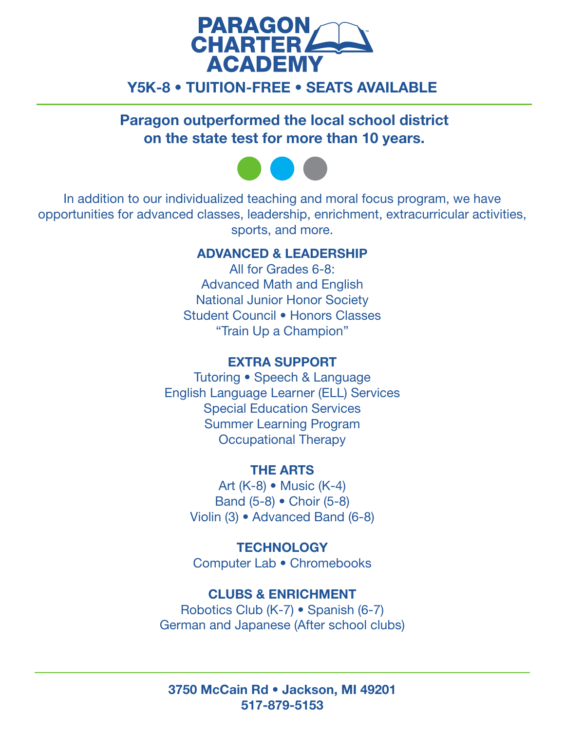

# Y5K-8 • TUITION-FREE • SEATS AVAILABLE

Paragon outperformed the local school district on the state test for more than 10 years.



In addition to our individualized teaching and moral focus program, we have opportunities for advanced classes, leadership, enrichment, extracurricular activities, sports, and more.

### ADVANCED & LEADERSHIP

All for Grades 6-8: Advanced Math and English National Junior Honor Society Student Council • Honors Classes "Train Up a Champion"

## EXTRA SUPPORT

Tutoring • Speech & Language English Language Learner (ELL) Services Special Education Services Summer Learning Program Occupational Therapy

### THE ARTS

Art (K-8) • Music (K-4) Band (5-8) • Choir (5-8) Violin (3) • Advanced Band (6-8)

**TECHNOLOGY** Computer Lab • Chromebooks

### CLUBS & ENRICHMENT

Robotics Club (K-7) • Spanish (6-7) German and Japanese (After school clubs)

3750 McCain Rd • Jackson, MI 49201 517-879-5153